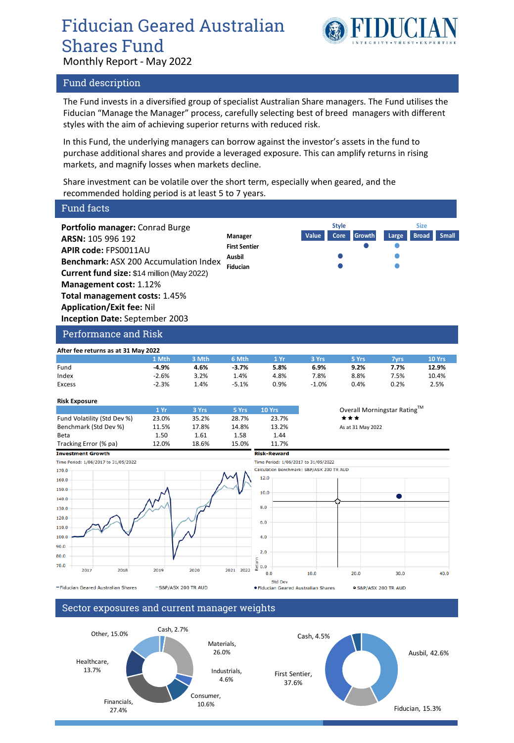# Fiducian Geared Australian Shares Fund Monthly Report - May 2022



#### Fund description

The Fund invests in a diversified group of specialist Australian Share managers. The Fund utilises the Fiducian "Manage the Manager" process, carefully selecting best of breed managers with different styles with the aim of achieving superior returns with reduced risk.

In this Fund, the underlying managers can borrow against the investor's assets in the fund to purchase additional shares and provide a leveraged exposure. This can amplify returns in rising markets, and magnify losses when markets decline.

Share investment can be volatile over the short term, especially when geared, and the recommended holding period is at least 5 to 7 years.